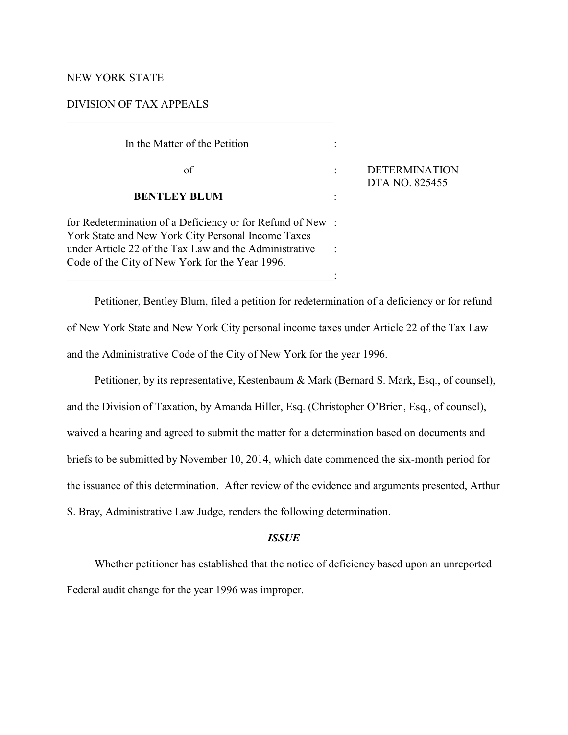# NEW YORK STATE

## DIVISION OF TAX APPEALS

| In the Matter of the Petition                                                                                                                                                                                                |                                        |
|------------------------------------------------------------------------------------------------------------------------------------------------------------------------------------------------------------------------------|----------------------------------------|
| of                                                                                                                                                                                                                           | <b>DETERMINATION</b><br>DTA NO. 825455 |
| <b>BENTLEY BLUM</b>                                                                                                                                                                                                          |                                        |
| for Redetermination of a Deficiency or for Refund of New:<br>York State and New York City Personal Income Taxes<br>under Article 22 of the Tax Law and the Administrative<br>Code of the City of New York for the Year 1996. |                                        |

 $\mathcal{L}_\mathcal{L} = \{ \mathcal{L}_\mathcal{L} = \{ \mathcal{L}_\mathcal{L} = \{ \mathcal{L}_\mathcal{L} = \{ \mathcal{L}_\mathcal{L} = \{ \mathcal{L}_\mathcal{L} = \{ \mathcal{L}_\mathcal{L} = \{ \mathcal{L}_\mathcal{L} = \{ \mathcal{L}_\mathcal{L} = \{ \mathcal{L}_\mathcal{L} = \{ \mathcal{L}_\mathcal{L} = \{ \mathcal{L}_\mathcal{L} = \{ \mathcal{L}_\mathcal{L} = \{ \mathcal{L}_\mathcal{L} = \{ \mathcal{L}_\mathcal{$ 

Petitioner, Bentley Blum, filed a petition for redetermination of a deficiency or for refund of New York State and New York City personal income taxes under Article 22 of the Tax Law and the Administrative Code of the City of New York for the year 1996.

Petitioner, by its representative, Kestenbaum & Mark (Bernard S. Mark, Esq., of counsel), and the Division of Taxation, by Amanda Hiller, Esq. (Christopher O'Brien, Esq., of counsel), waived a hearing and agreed to submit the matter for a determination based on documents and briefs to be submitted by November 10, 2014, which date commenced the six-month period for the issuance of this determination. After review of the evidence and arguments presented, Arthur S. Bray, Administrative Law Judge, renders the following determination.

#### *ISSUE*

Whether petitioner has established that the notice of deficiency based upon an unreported Federal audit change for the year 1996 was improper.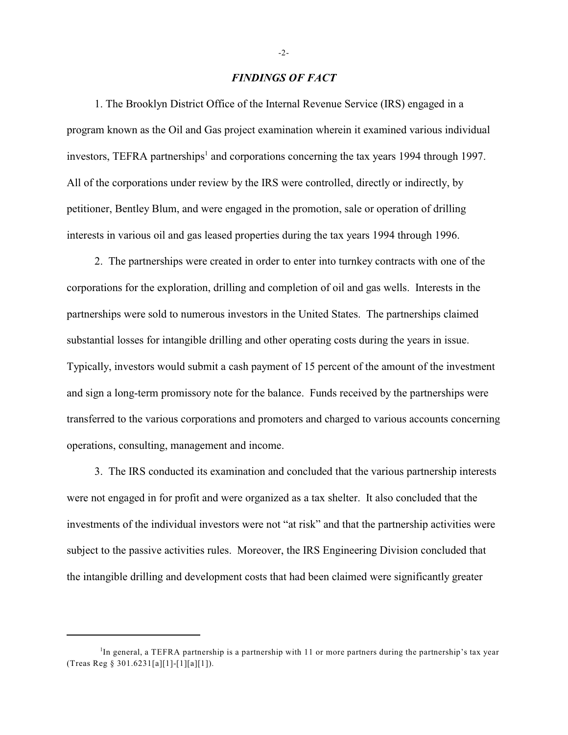### *FINDINGS OF FACT*

1. The Brooklyn District Office of the Internal Revenue Service (IRS) engaged in a program known as the Oil and Gas project examination wherein it examined various individual investors, TEFRA partnerships<sup>1</sup> and corporations concerning the tax years 1994 through 1997. All of the corporations under review by the IRS were controlled, directly or indirectly, by petitioner, Bentley Blum, and were engaged in the promotion, sale or operation of drilling interests in various oil and gas leased properties during the tax years 1994 through 1996.

2. The partnerships were created in order to enter into turnkey contracts with one of the corporations for the exploration, drilling and completion of oil and gas wells. Interests in the partnerships were sold to numerous investors in the United States. The partnerships claimed substantial losses for intangible drilling and other operating costs during the years in issue. Typically, investors would submit a cash payment of 15 percent of the amount of the investment and sign a long-term promissory note for the balance. Funds received by the partnerships were transferred to the various corporations and promoters and charged to various accounts concerning operations, consulting, management and income.

3. The IRS conducted its examination and concluded that the various partnership interests were not engaged in for profit and were organized as a tax shelter. It also concluded that the investments of the individual investors were not "at risk" and that the partnership activities were subject to the passive activities rules. Moreover, the IRS Engineering Division concluded that the intangible drilling and development costs that had been claimed were significantly greater

-2-

 ${}^{1}$ In general, a TEFRA partnership is a partnership with 11 or more partners during the partnership's tax year (Treas Reg § 301.6231[a][1]-[1][a][1]).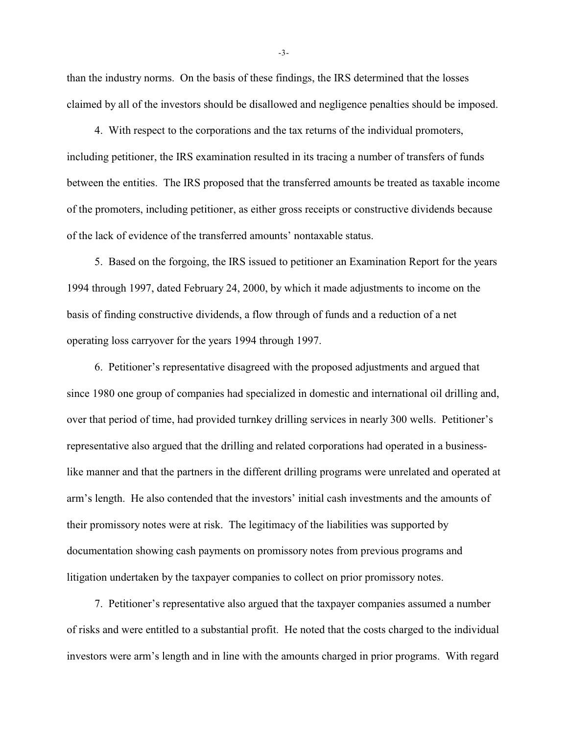than the industry norms. On the basis of these findings, the IRS determined that the losses claimed by all of the investors should be disallowed and negligence penalties should be imposed.

4. With respect to the corporations and the tax returns of the individual promoters, including petitioner, the IRS examination resulted in its tracing a number of transfers of funds between the entities. The IRS proposed that the transferred amounts be treated as taxable income of the promoters, including petitioner, as either gross receipts or constructive dividends because of the lack of evidence of the transferred amounts' nontaxable status.

5. Based on the forgoing, the IRS issued to petitioner an Examination Report for the years 1994 through 1997, dated February 24, 2000, by which it made adjustments to income on the basis of finding constructive dividends, a flow through of funds and a reduction of a net operating loss carryover for the years 1994 through 1997.

6. Petitioner's representative disagreed with the proposed adjustments and argued that since 1980 one group of companies had specialized in domestic and international oil drilling and, over that period of time, had provided turnkey drilling services in nearly 300 wells. Petitioner's representative also argued that the drilling and related corporations had operated in a businesslike manner and that the partners in the different drilling programs were unrelated and operated at arm's length. He also contended that the investors' initial cash investments and the amounts of their promissory notes were at risk. The legitimacy of the liabilities was supported by documentation showing cash payments on promissory notes from previous programs and litigation undertaken by the taxpayer companies to collect on prior promissory notes.

7. Petitioner's representative also argued that the taxpayer companies assumed a number of risks and were entitled to a substantial profit. He noted that the costs charged to the individual investors were arm's length and in line with the amounts charged in prior programs. With regard

-3-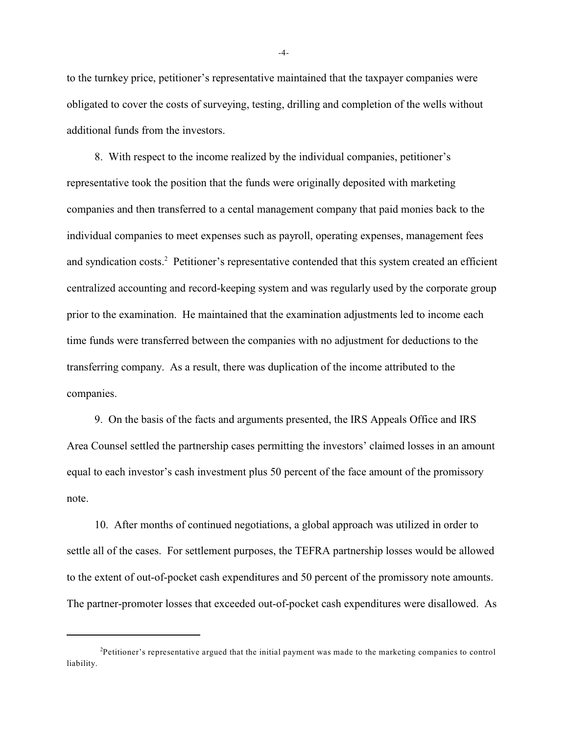to the turnkey price, petitioner's representative maintained that the taxpayer companies were obligated to cover the costs of surveying, testing, drilling and completion of the wells without additional funds from the investors.

8. With respect to the income realized by the individual companies, petitioner's representative took the position that the funds were originally deposited with marketing companies and then transferred to a cental management company that paid monies back to the individual companies to meet expenses such as payroll, operating expenses, management fees and syndication costs.<sup>2</sup> Petitioner's representative contended that this system created an efficient centralized accounting and record-keeping system and was regularly used by the corporate group prior to the examination. He maintained that the examination adjustments led to income each time funds were transferred between the companies with no adjustment for deductions to the transferring company. As a result, there was duplication of the income attributed to the companies.

9. On the basis of the facts and arguments presented, the IRS Appeals Office and IRS Area Counsel settled the partnership cases permitting the investors' claimed losses in an amount equal to each investor's cash investment plus 50 percent of the face amount of the promissory note.

10. After months of continued negotiations, a global approach was utilized in order to settle all of the cases. For settlement purposes, the TEFRA partnership losses would be allowed to the extent of out-of-pocket cash expenditures and 50 percent of the promissory note amounts. The partner-promoter losses that exceeded out-of-pocket cash expenditures were disallowed. As

-4-

 $P$ etitioner's representative argued that the initial payment was made to the marketing companies to control liability.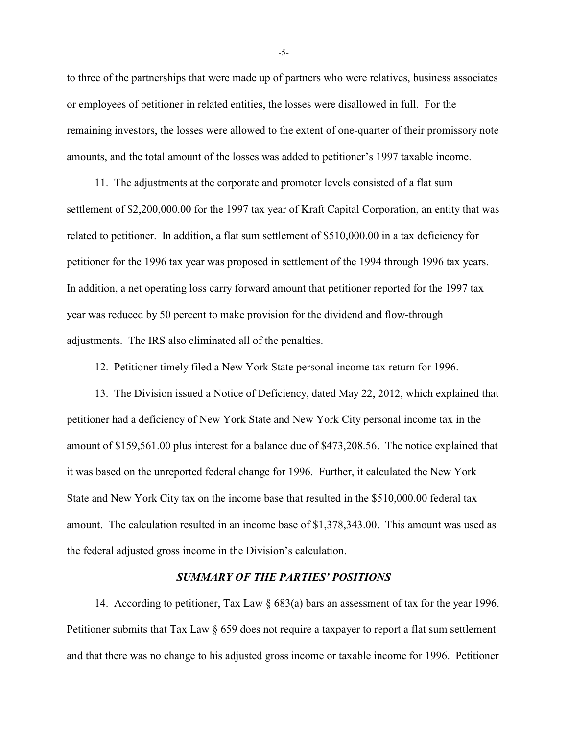to three of the partnerships that were made up of partners who were relatives, business associates or employees of petitioner in related entities, the losses were disallowed in full. For the remaining investors, the losses were allowed to the extent of one-quarter of their promissory note amounts, and the total amount of the losses was added to petitioner's 1997 taxable income.

11. The adjustments at the corporate and promoter levels consisted of a flat sum settlement of \$2,200,000.00 for the 1997 tax year of Kraft Capital Corporation, an entity that was related to petitioner. In addition, a flat sum settlement of \$510,000.00 in a tax deficiency for petitioner for the 1996 tax year was proposed in settlement of the 1994 through 1996 tax years. In addition, a net operating loss carry forward amount that petitioner reported for the 1997 tax year was reduced by 50 percent to make provision for the dividend and flow-through adjustments. The IRS also eliminated all of the penalties.

12. Petitioner timely filed a New York State personal income tax return for 1996.

13. The Division issued a Notice of Deficiency, dated May 22, 2012, which explained that petitioner had a deficiency of New York State and New York City personal income tax in the amount of \$159,561.00 plus interest for a balance due of \$473,208.56. The notice explained that it was based on the unreported federal change for 1996. Further, it calculated the New York State and New York City tax on the income base that resulted in the \$510,000.00 federal tax amount. The calculation resulted in an income base of \$1,378,343.00. This amount was used as the federal adjusted gross income in the Division's calculation.

### *SUMMARY OF THE PARTIES' POSITIONS*

14. According to petitioner, Tax Law § 683(a) bars an assessment of tax for the year 1996. Petitioner submits that Tax Law § 659 does not require a taxpayer to report a flat sum settlement and that there was no change to his adjusted gross income or taxable income for 1996. Petitioner

-5-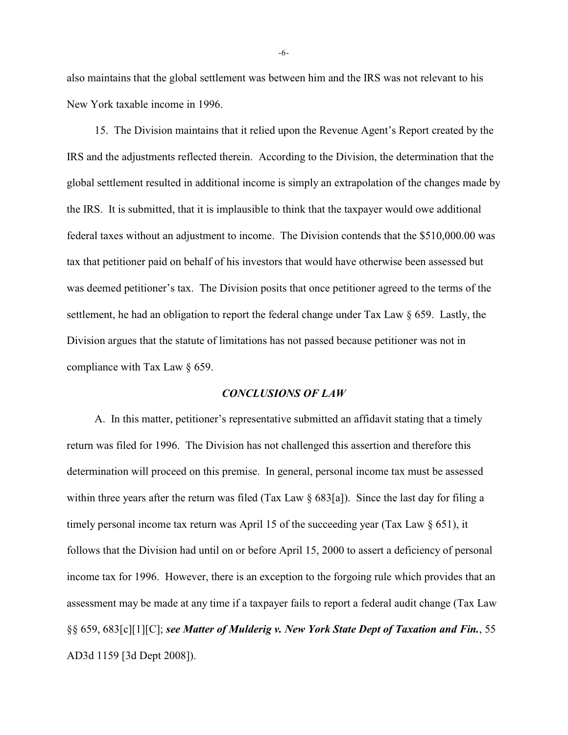also maintains that the global settlement was between him and the IRS was not relevant to his New York taxable income in 1996.

15. The Division maintains that it relied upon the Revenue Agent's Report created by the IRS and the adjustments reflected therein. According to the Division, the determination that the global settlement resulted in additional income is simply an extrapolation of the changes made by the IRS. It is submitted, that it is implausible to think that the taxpayer would owe additional federal taxes without an adjustment to income. The Division contends that the \$510,000.00 was tax that petitioner paid on behalf of his investors that would have otherwise been assessed but was deemed petitioner's tax. The Division posits that once petitioner agreed to the terms of the settlement, he had an obligation to report the federal change under Tax Law § 659. Lastly, the Division argues that the statute of limitations has not passed because petitioner was not in compliance with Tax Law § 659.

### *CONCLUSIONS OF LAW*

A. In this matter, petitioner's representative submitted an affidavit stating that a timely return was filed for 1996. The Division has not challenged this assertion and therefore this determination will proceed on this premise. In general, personal income tax must be assessed within three years after the return was filed (Tax Law  $\S$  683[a]). Since the last day for filing a timely personal income tax return was April 15 of the succeeding year (Tax Law  $\S$  651), it follows that the Division had until on or before April 15, 2000 to assert a deficiency of personal income tax for 1996. However, there is an exception to the forgoing rule which provides that an assessment may be made at any time if a taxpayer fails to report a federal audit change (Tax Law §§ 659, 683[c][1][C]; *see Matter of Mulderig v. New York State Dept of Taxation and Fin.*, 55 AD3d 1159 [3d Dept 2008]).

-6-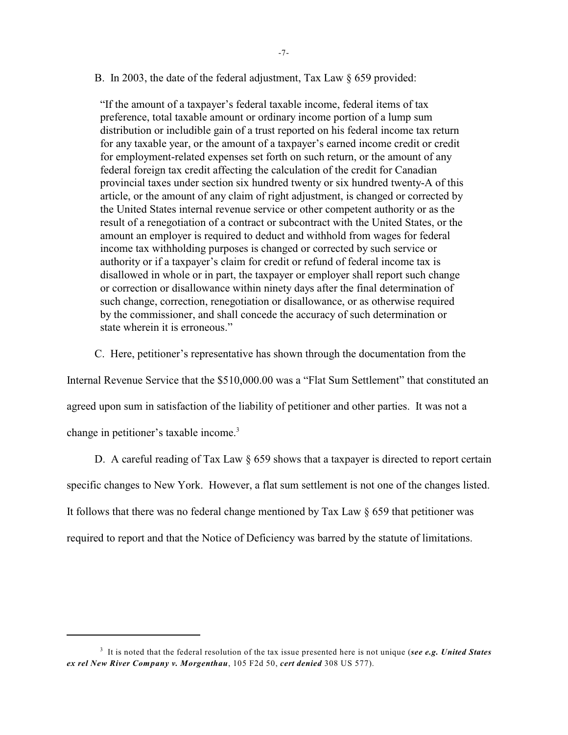B. In 2003, the date of the federal adjustment, Tax Law § 659 provided:

"If the amount of a taxpayer's federal taxable income, federal items of tax preference, total taxable amount or ordinary income portion of a lump sum distribution or includible gain of a trust reported on his federal income tax return for any taxable year, or the amount of a taxpayer's earned income credit or credit for employment-related expenses set forth on such return, or the amount of any federal foreign tax credit affecting the calculation of the credit for Canadian provincial taxes under section six hundred twenty or six hundred twenty-A of this article, or the amount of any claim of right adjustment, is changed or corrected by the United States internal revenue service or other competent authority or as the result of a renegotiation of a contract or subcontract with the United States, or the amount an employer is required to deduct and withhold from wages for federal income tax withholding purposes is changed or corrected by such service or authority or if a taxpayer's claim for credit or refund of federal income tax is disallowed in whole or in part, the taxpayer or employer shall report such change or correction or disallowance within ninety days after the final determination of such change, correction, renegotiation or disallowance, or as otherwise required by the commissioner, and shall concede the accuracy of such determination or state wherein it is erroneous."

C. Here, petitioner's representative has shown through the documentation from the Internal Revenue Service that the \$510,000.00 was a "Flat Sum Settlement" that constituted an agreed upon sum in satisfaction of the liability of petitioner and other parties. It was not a change in petitioner's taxable income. 3

D. A careful reading of Tax Law § 659 shows that a taxpayer is directed to report certain specific changes to New York. However, a flat sum settlement is not one of the changes listed. It follows that there was no federal change mentioned by Tax Law § 659 that petitioner was required to report and that the Notice of Deficiency was barred by the statute of limitations.

<sup>&</sup>lt;sup>3</sup> It is noted that the federal resolution of the tax issue presented here is not unique (*see e.g. United States ex rel New River Company v. Morgenthau*, 105 F2d 50, *cert denied* 308 US 577).